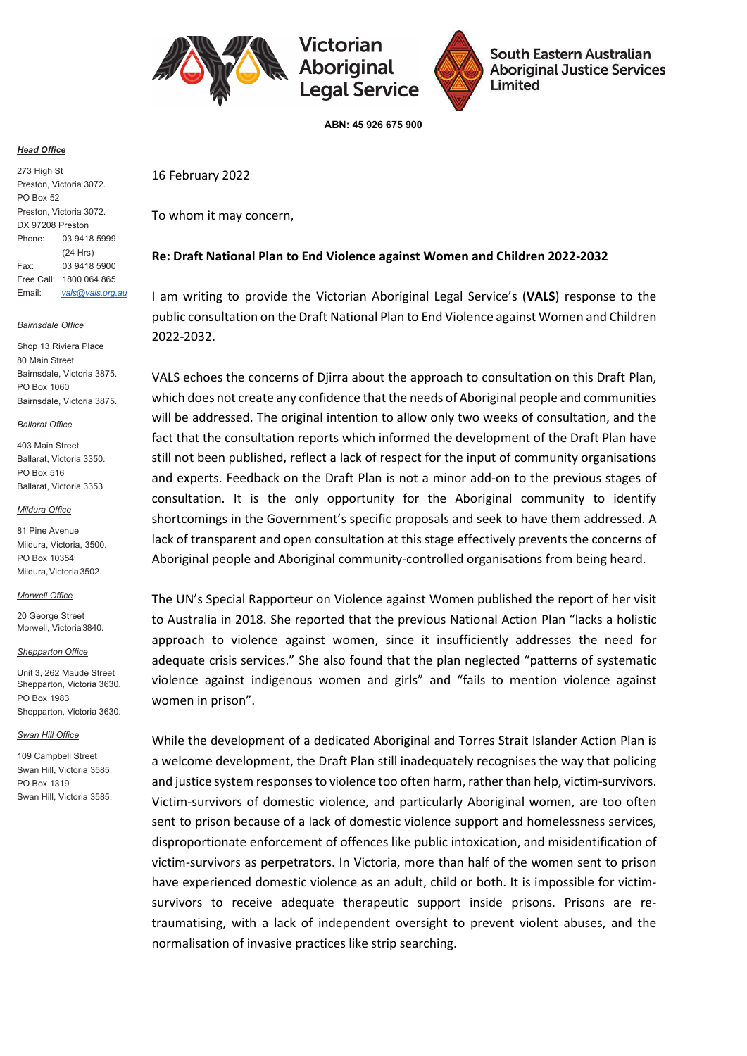

/ictorian **Aboriginal Legal Service** 



South Eastern Australian **Aboriginal Justice Services** Limited

ABN: 45 926 675 900

### **Head Office**

273 High St Preston, Victoria 3072. PO Box 52 Preston, Victoria 3072. DX 97208 Preston Phone: 03 9418 5999 (24 Hrs) Fax: 03 9418 5900 Free Call: 1800 064 865 Email: vals@vals.org.au

### Bairnsdale Office

Shop 13 Riviera Place 80 Main Street Bairnsdale, Victoria 3875. PO Box 1060 Bairnsdale, Victoria 3875.

### **Ballarat Office**

403 Main Street Ballarat, Victoria 3350. PO Box 516 Ballarat, Victoria 3353

#### Mildura Office

81 Pine Avenue Mildura, Victoria, 3500. PO Box 10354 Mildura, Victoria 3502.

### Morwell Office

20 George Street Morwell, Victoria 3840.

### Shepparton Office

Unit 3, 262 Maude Street Shepparton, Victoria 3630. PO Box 1983 Shepparton, Victoria 3630.

### Swan Hill Office

109 Campbell Street Swan Hill, Victoria 3585. PO Box 1319 Swan Hill, Victoria 3585.

# 16 February 2022

To whom it may concern,

# Re: Draft National Plan to End Violence against Women and Children 2022-2032

I am writing to provide the Victorian Aboriginal Legal Service's (VALS) response to the public consultation on the Draft National Plan to End Violence against Women and Children 2022-2032.

VALS echoes the concerns of Djirra about the approach to consultation on this Draft Plan, which does not create any confidence that the needs of Aboriginal people and communities will be addressed. The original intention to allow only two weeks of consultation, and the fact that the consultation reports which informed the development of the Draft Plan have still not been published, reflect a lack of respect for the input of community organisations and experts. Feedback on the Draft Plan is not a minor add-on to the previous stages of consultation. It is the only opportunity for the Aboriginal community to identify shortcomings in the Government's specific proposals and seek to have them addressed. A lack of transparent and open consultation at this stage effectively prevents the concerns of Aboriginal people and Aboriginal community-controlled organisations from being heard.

The UN's Special Rapporteur on Violence against Women published the report of her visit to Australia in 2018. She reported that the previous National Action Plan "lacks a holistic approach to violence against women, since it insufficiently addresses the need for adequate crisis services." She also found that the plan neglected "patterns of systematic violence against indigenous women and girls" and "fails to mention violence against women in prison".

While the development of a dedicated Aboriginal and Torres Strait Islander Action Plan is a welcome development, the Draft Plan still inadequately recognises the way that policing and justice system responses to violence too often harm, rather than help, victim-survivors. Victim-survivors of domestic violence, and particularly Aboriginal women, are too often sent to prison because of a lack of domestic violence support and homelessness services, disproportionate enforcement of offences like public intoxication, and misidentification of victim-survivors as perpetrators. In Victoria, more than half of the women sent to prison have experienced domestic violence as an adult, child or both. It is impossible for victimsurvivors to receive adequate therapeutic support inside prisons. Prisons are retraumatising, with a lack of independent oversight to prevent violent abuses, and the normalisation of invasive practices like strip searching.